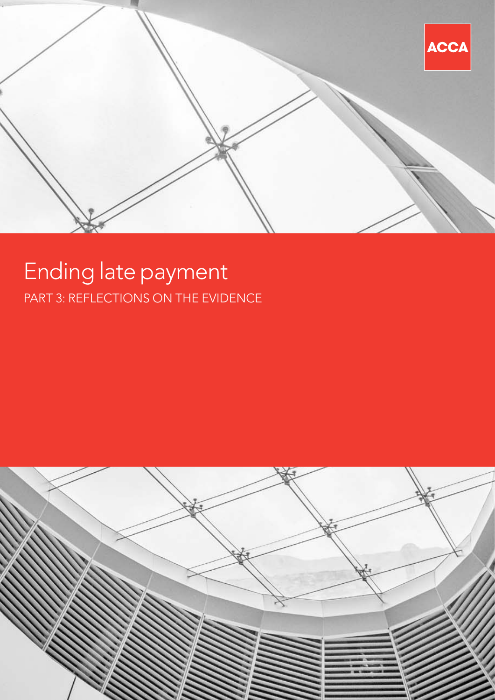

# Ending late payment PART 3: REFLECTIONS ON THE EVIDENCE

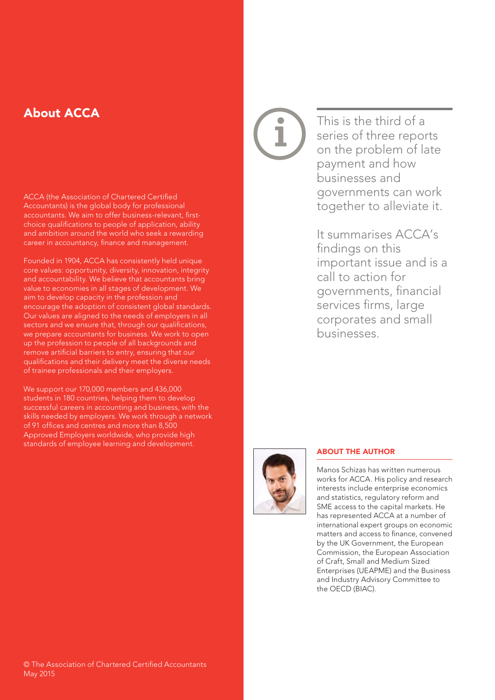## About ACCA

ACCA (the Association of Chartered Certified Accountants) is the global body for professional accountants. We aim to offer business-relevant, firstchoice qualifications to people of application, ability and ambition around the world who seek a rewarding career in accountancy, finance and management.

Founded in 1904, ACCA has consistently held unique core values: opportunity, diversity, innovation, integrity and accountability. We believe that accountants bring value to economies in all stages of development. We aim to develop capacity in the profession and encourage the adoption of consistent global standards. Our values are aligned to the needs of employers in all sectors and we ensure that, through our qualifications, we prepare accountants for business. We work to open up the profession to people of all backgrounds and remove artificial barriers to entry, ensuring that our qualifications and their delivery meet the diverse needs of trainee professionals and their employers.

We support our 170,000 members and 436,000 students in 180 countries, helping them to develop successful careers in accounting and business, with the skills needed by employers. We work through a network of 91 offices and centres and more than 8,500 Approved Employers worldwide, who provide high standards of employee learning and development.

This is the third of a series of three reports on the problem of late payment and how businesses and governments can work together to alleviate it.

It summarises ACCA's findings on this important issue and is a call to action for governments, financial services firms, large corporates and small businesses.



#### ABOUT THE AUTHOR

Manos Schizas has written numerous works for ACCA. His policy and research interests include enterprise economics and statistics, regulatory reform and SME access to the capital markets. He has represented ACCA at a number of international expert groups on economic matters and access to finance, convened by the UK Government, the European Commission, the European Association of Craft, Small and Medium Sized Enterprises (UEAPME) and the Business and Industry Advisory Committee to the OECD (BIAC).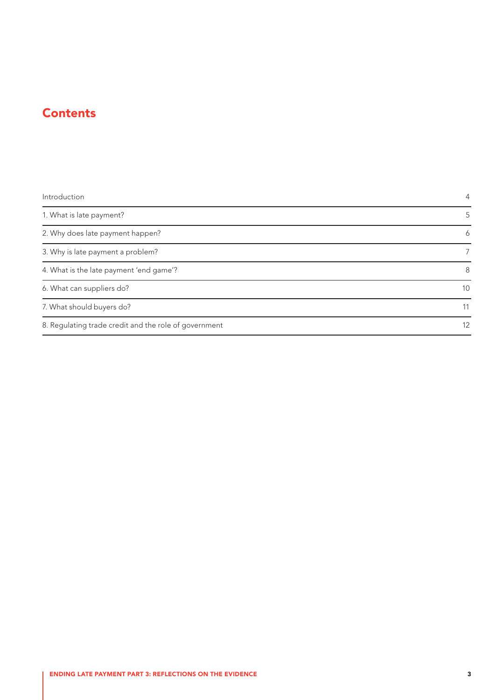## **Contents**

| Introduction                                          | $\overline{4}$ |
|-------------------------------------------------------|----------------|
| 1. What is late payment?                              | 5              |
| 2. Why does late payment happen?                      | 6              |
| 3. Why is late payment a problem?                     | 7              |
| 4. What is the late payment 'end game'?               | 8              |
| 6. What can suppliers do?                             | 10             |
| 7. What should buyers do?                             | 11             |
| 8. Regulating trade credit and the role of government | 12             |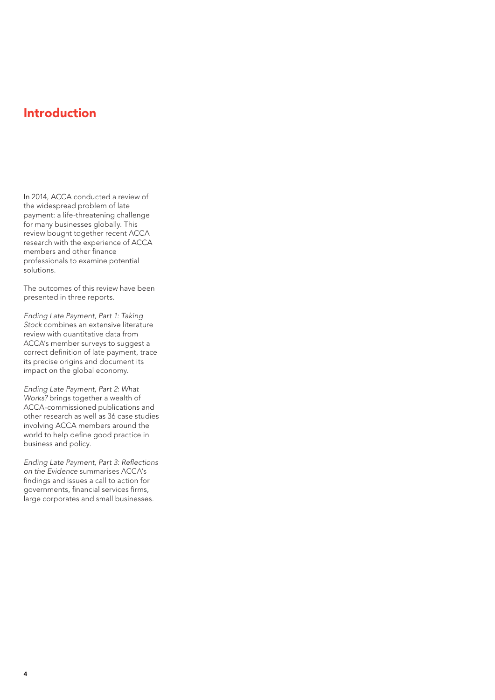## <span id="page-3-0"></span>Introduction

In 2014, ACCA conducted a review of the widespread problem of late payment: a life-threatening challenge for many businesses globally. This review bought together recent ACCA research with the experience of ACCA members and other finance professionals to examine potential solutions.

The outcomes of this review have been presented in three reports.

*Ending Late Payment, Part 1: Taking Stock* combines an extensive literature review with quantitative data from ACCA's member surveys to suggest a correct definition of late payment, trace its precise origins and document its impact on the global economy.

*Ending Late Payment, Part 2: What Works?* brings together a wealth of ACCA-commissioned publications and other research as well as 36 case studies involving ACCA members around the world to help define good practice in business and policy.

*Ending Late Payment, Part 3: Reflections on the Evidence* summarises ACCA's findings and issues a call to action for governments, financial services firms, large corporates and small businesses.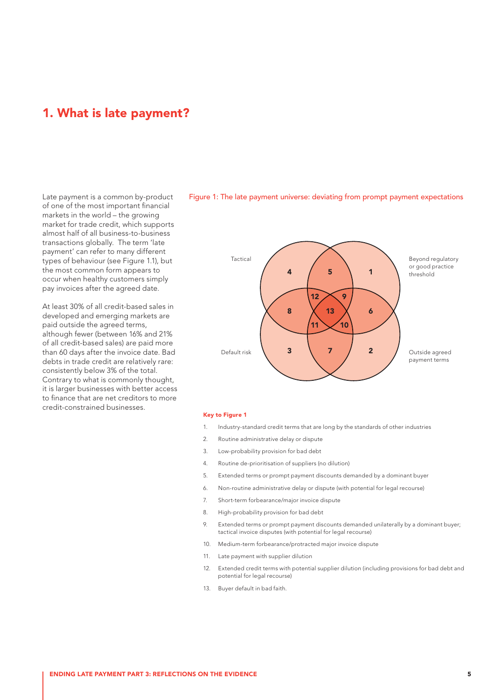### <span id="page-4-0"></span>1. What is late payment?

Late payment is a common by-product of one of the most important financial markets in the world – the growing market for trade credit, which supports almost half of all business-to-business transactions globally. The term 'late payment' can refer to many different types of behaviour (see Figure 1.1), but the most common form appears to occur when healthy customers simply pay invoices after the agreed date.

At least 30% of all credit-based sales in developed and emerging markets are paid outside the agreed terms, although fewer (between 16% and 21% of all credit-based sales) are paid more than 60 days after the invoice date. Bad debts in trade credit are relatively rare: consistently below 3% of the total. Contrary to what is commonly thought, it is larger businesses with better access to finance that are net creditors to more credit-constrained businesses.



### Figure 1: The late payment universe: deviating from prompt payment expectations

#### Key to Figure 1

- 1. Industry-standard credit terms that are long by the standards of other industries
- 2. Routine administrative delay or dispute
- 3. Low-probability provision for bad debt
- 4. Routine de-prioritisation of suppliers (no dilution)
- 5. Extended terms or prompt payment discounts demanded by a dominant buyer
- 6. Non-routine administrative delay or dispute (with potential for legal recourse)
- 7. Short-term forbearance/major invoice dispute
- 8. High-probability provision for bad debt
- 9. Extended terms or prompt payment discounts demanded unilaterally by a dominant buyer; tactical invoice disputes (with potential for legal recourse)
- 10. Medium-term forbearance/protracted major invoice dispute
- 11. Late payment with supplier dilution
- 12. Extended credit terms with potential supplier dilution (including provisions for bad debt and potential for legal recourse)
- 13. Buyer default in bad faith.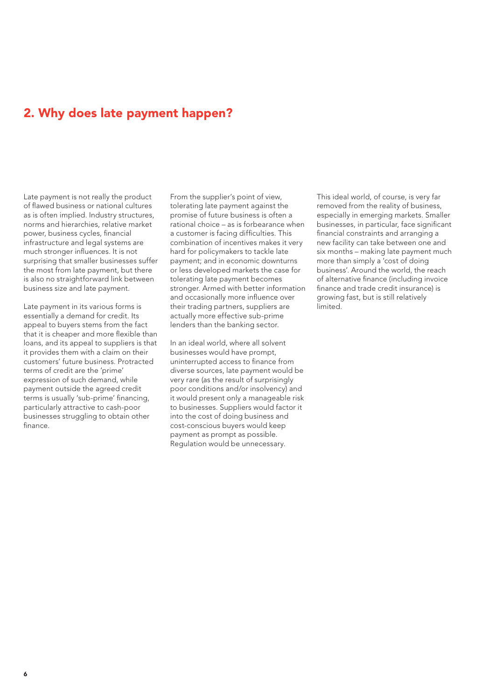## <span id="page-5-0"></span>2. Why does late payment happen?

Late payment is not really the product of flawed business or national cultures as is often implied. Industry structures, norms and hierarchies, relative market power, business cycles, financial infrastructure and legal systems are much stronger influences. It is not surprising that smaller businesses suffer the most from late payment, but there is also no straightforward link between business size and late payment.

Late payment in its various forms is essentially a demand for credit. Its appeal to buyers stems from the fact that it is cheaper and more flexible than loans, and its appeal to suppliers is that it provides them with a claim on their customers' future business. Protracted terms of credit are the 'prime' expression of such demand, while payment outside the agreed credit terms is usually 'sub-prime' financing, particularly attractive to cash-poor businesses struggling to obtain other finance.

From the supplier's point of view, tolerating late payment against the promise of future business is often a rational choice – as is forbearance when a customer is facing difficulties. This combination of incentives makes it very hard for policymakers to tackle late payment; and in economic downturns or less developed markets the case for tolerating late payment becomes stronger. Armed with better information and occasionally more influence over their trading partners, suppliers are actually more effective sub-prime lenders than the banking sector.

In an ideal world, where all solvent businesses would have prompt, uninterrupted access to finance from diverse sources, late payment would be very rare (as the result of surprisingly poor conditions and/or insolvency) and it would present only a manageable risk to businesses. Suppliers would factor it into the cost of doing business and cost-conscious buyers would keep payment as prompt as possible. Regulation would be unnecessary.

This ideal world, of course, is very far removed from the reality of business, especially in emerging markets. Smaller businesses, in particular, face significant financial constraints and arranging a new facility can take between one and six months – making late payment much more than simply a 'cost of doing business'. Around the world, the reach of alternative finance (including invoice finance and trade credit insurance) is growing fast, but is still relatively **limited**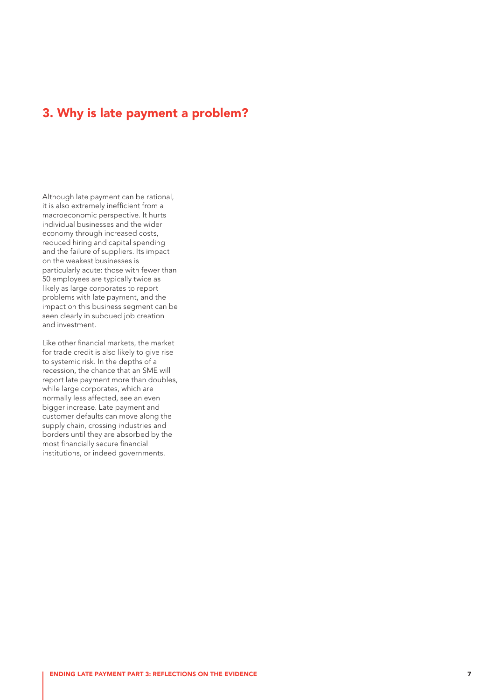## <span id="page-6-0"></span>3. Why is late payment a problem?

Although late payment can be rational, it is also extremely inefficient from a macroeconomic perspective. It hurts individual businesses and the wider economy through increased costs, reduced hiring and capital spending and the failure of suppliers. Its impact on the weakest businesses is particularly acute: those with fewer than 50 employees are typically twice as likely as large corporates to report problems with late payment, and the impact on this business segment can be seen clearly in subdued job creation and investment.

Like other financial markets, the market for trade credit is also likely to give rise to systemic risk. In the depths of a recession, the chance that an SME will report late payment more than doubles, while large corporates, which are normally less affected, see an even bigger increase. Late payment and customer defaults can move along the supply chain, crossing industries and borders until they are absorbed by the most financially secure financial institutions, or indeed governments.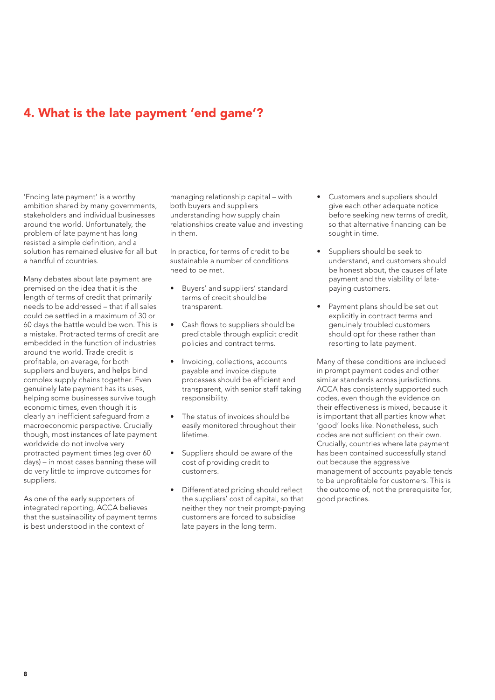## <span id="page-7-0"></span>4. What is the late payment 'end game'?

'Ending late payment' is a worthy ambition shared by many governments, stakeholders and individual businesses around the world. Unfortunately, the problem of late payment has long resisted a simple definition, and a solution has remained elusive for all but a handful of countries.

Many debates about late payment are premised on the idea that it is the length of terms of credit that primarily needs to be addressed – that if all sales could be settled in a maximum of 30 or 60 days the battle would be won. This is a mistake. Protracted terms of credit are embedded in the function of industries around the world. Trade credit is profitable, on average, for both suppliers and buyers, and helps bind complex supply chains together. Even genuinely late payment has its uses, helping some businesses survive tough economic times, even though it is clearly an inefficient safeguard from a macroeconomic perspective. Crucially though, most instances of late payment worldwide do not involve very protracted payment times (eg over 60 days) – in most cases banning these will do very little to improve outcomes for suppliers.

As one of the early supporters of integrated reporting, ACCA believes that the sustainability of payment terms is best understood in the context of

managing relationship capital – with both buyers and suppliers understanding how supply chain relationships create value and investing in them.

In practice, for terms of credit to be sustainable a number of conditions need to be met.

- Buyers' and suppliers' standard terms of credit should be transparent.
- Cash flows to suppliers should be predictable through explicit credit policies and contract terms.
- Invoicing, collections, accounts payable and invoice dispute processes should be efficient and transparent, with senior staff taking responsibility.
- The status of invoices should be easily monitored throughout their lifetime.
- Suppliers should be aware of the cost of providing credit to customers.
- Differentiated pricing should reflect the suppliers' cost of capital, so that neither they nor their prompt-paying customers are forced to subsidise late payers in the long term.
- • Customers and suppliers should give each other adequate notice before seeking new terms of credit, so that alternative financing can be sought in time.
- Suppliers should be seek to understand, and customers should be honest about, the causes of late payment and the viability of latepaying customers.
- Payment plans should be set out explicitly in contract terms and genuinely troubled customers should opt for these rather than resorting to late payment.

Many of these conditions are included in prompt payment codes and other similar standards across jurisdictions. ACCA has consistently supported such codes, even though the evidence on their effectiveness is mixed, because it is important that all parties know what 'good' looks like. Nonetheless, such codes are not sufficient on their own. Crucially, countries where late payment has been contained successfully stand out because the aggressive management of accounts payable tends to be unprofitable for customers. This is the outcome of, not the prerequisite for, good practices.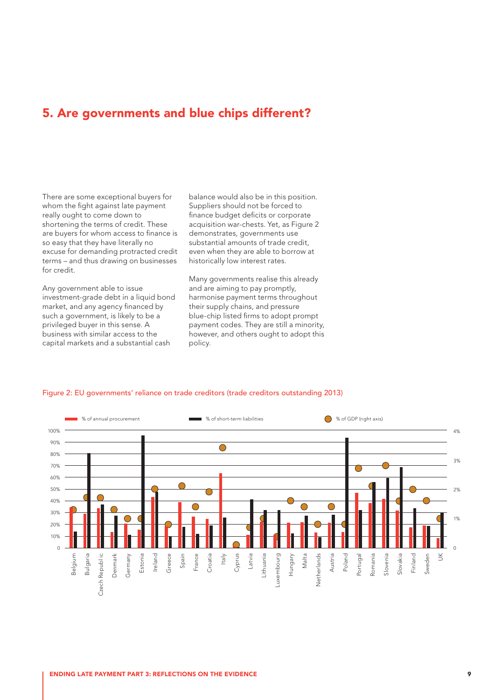### 5. Are governments and blue chips different?

There are some exceptional buyers for whom the fight against late payment really ought to come down to shortening the terms of credit. These are buyers for whom access to finance is so easy that they have literally no excuse for demanding protracted credit terms – and thus drawing on businesses for credit.

Any government able to issue investment-grade debt in a liquid bond market, and any agency financed by such a government, is likely to be a privileged buyer in this sense. A business with similar access to the capital markets and a substantial cash

balance would also be in this position. Suppliers should not be forced to finance budget deficits or corporate acquisition war-chests. Yet, as Figure 2 demonstrates, governments use substantial amounts of trade credit, even when they are able to borrow at historically low interest rates.

Many governments realise this already and are aiming to pay promptly, harmonise payment terms throughout their supply chains, and pressure blue-chip listed firms to adopt prompt payment codes. They are still a minority, however, and others ought to adopt this policy.



#### Figure 2: EU governments' reliance on trade creditors (trade creditors outstanding 2013)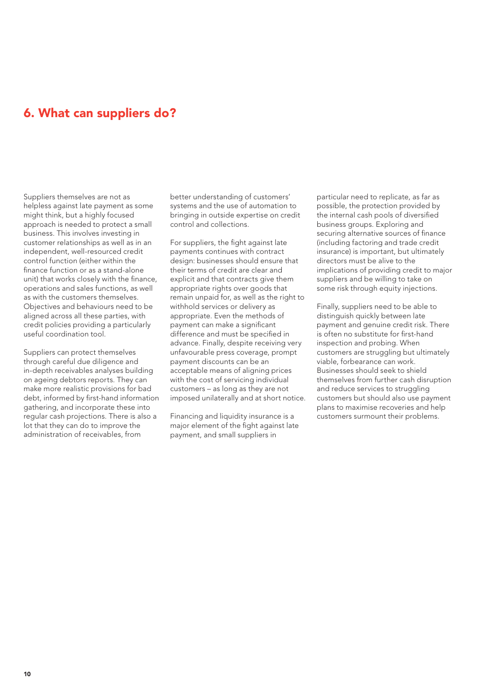## <span id="page-9-0"></span>6. What can suppliers do?

Suppliers themselves are not as helpless against late payment as some might think, but a highly focused approach is needed to protect a small business. This involves investing in customer relationships as well as in an independent, well-resourced credit control function (either within the finance function or as a stand-alone unit) that works closely with the finance, operations and sales functions, as well as with the customers themselves. Objectives and behaviours need to be aligned across all these parties, with credit policies providing a particularly useful coordination tool.

Suppliers can protect themselves through careful due diligence and in-depth receivables analyses building on ageing debtors reports. They can make more realistic provisions for bad debt, informed by first-hand information gathering, and incorporate these into regular cash projections. There is also a lot that they can do to improve the administration of receivables, from

better understanding of customers' systems and the use of automation to bringing in outside expertise on credit control and collections.

For suppliers, the fight against late payments continues with contract design: businesses should ensure that their terms of credit are clear and explicit and that contracts give them appropriate rights over goods that remain unpaid for, as well as the right to withhold services or delivery as appropriate. Even the methods of payment can make a significant difference and must be specified in advance. Finally, despite receiving very unfavourable press coverage, prompt payment discounts can be an acceptable means of aligning prices with the cost of servicing individual customers – as long as they are not imposed unilaterally and at short notice.

Financing and liquidity insurance is a major element of the fight against late payment, and small suppliers in

particular need to replicate, as far as possible, the protection provided by the internal cash pools of diversified business groups. Exploring and securing alternative sources of finance (including factoring and trade credit insurance) is important, but ultimately directors must be alive to the implications of providing credit to major suppliers and be willing to take on some risk through equity injections.

Finally, suppliers need to be able to distinguish quickly between late payment and genuine credit risk. There is often no substitute for first-hand inspection and probing. When customers are struggling but ultimately viable, forbearance can work. Businesses should seek to shield themselves from further cash disruption and reduce services to struggling customers but should also use payment plans to maximise recoveries and help customers surmount their problems.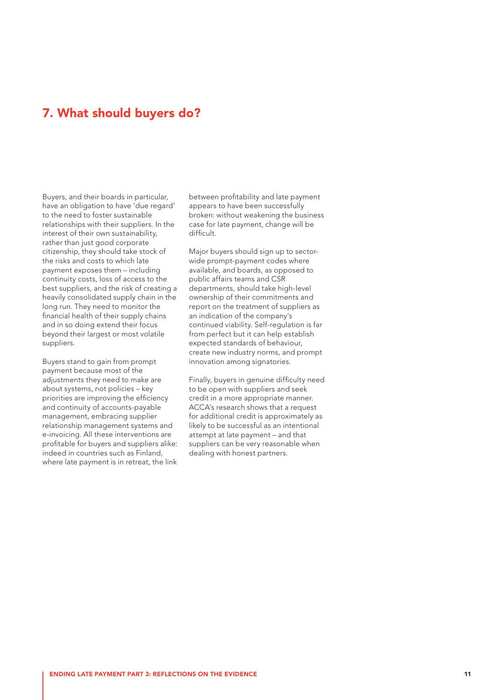## <span id="page-10-0"></span>7. What should buyers do?

Buyers, and their boards in particular, have an obligation to have 'due regard' to the need to foster sustainable relationships with their suppliers. In the interest of their own sustainability, rather than just good corporate citizenship, they should take stock of the risks and costs to which late payment exposes them – including continuity costs, loss of access to the best suppliers, and the risk of creating a heavily consolidated supply chain in the long run. They need to monitor the financial health of their supply chains and in so doing extend their focus beyond their largest or most volatile suppliers.

Buyers stand to gain from prompt payment because most of the adjustments they need to make are about systems, not policies – key priorities are improving the efficiency and continuity of accounts-payable management, embracing supplier relationship management systems and e-invoicing. All these interventions are profitable for buyers and suppliers alike: indeed in countries such as Finland, where late payment is in retreat, the link

between profitability and late payment appears to have been successfully broken: without weakening the business case for late payment, change will be difficult.

Major buyers should sign up to sectorwide prompt-payment codes where available, and boards, as opposed to public affairs teams and CSR departments, should take high-level ownership of their commitments and report on the treatment of suppliers as an indication of the company's continued viability. Self-regulation is far from perfect but it can help establish expected standards of behaviour, create new industry norms, and prompt innovation among signatories.

Finally, buyers in genuine difficulty need to be open with suppliers and seek credit in a more appropriate manner. ACCA's research shows that a request for additional credit is approximately as likely to be successful as an intentional attempt at late payment – and that suppliers can be very reasonable when dealing with honest partners.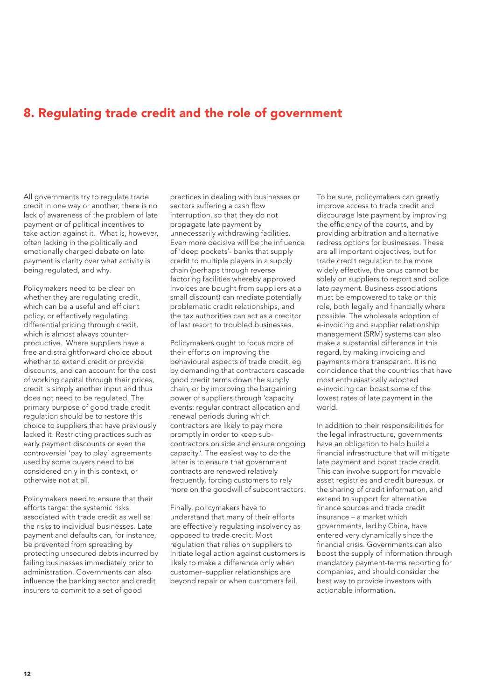## <span id="page-11-0"></span>8. Regulating trade credit and the role of government

All governments try to regulate trade credit in one way or another; there is no lack of awareness of the problem of late payment or of political incentives to take action against it. What is, however, often lacking in the politically and emotionally charged debate on late payment is clarity over what activity is being regulated, and why.

Policymakers need to be clear on whether they are regulating credit. which can be a useful and efficient policy, or effectively regulating differential pricing through credit, which is almost always counterproductive. Where suppliers have a free and straightforward choice about whether to extend credit or provide discounts, and can account for the cost of working capital through their prices, credit is simply another input and thus does not need to be regulated. The primary purpose of good trade credit regulation should be to restore this choice to suppliers that have previously lacked it. Restricting practices such as early payment discounts or even the controversial 'pay to play' agreements used by some buyers need to be considered only in this context, or otherwise not at all.

Policymakers need to ensure that their efforts target the systemic risks associated with trade credit as well as the risks to individual businesses. Late payment and defaults can, for instance, be prevented from spreading by protecting unsecured debts incurred by failing businesses immediately prior to administration. Governments can also influence the banking sector and credit insurers to commit to a set of good

practices in dealing with businesses or sectors suffering a cash flow interruption, so that they do not propagate late payment by unnecessarily withdrawing facilities. Even more decisive will be the influence of 'deep pockets'- banks that supply credit to multiple players in a supply chain (perhaps through reverse factoring facilities whereby approved invoices are bought from suppliers at a small discount) can mediate potentially problematic credit relationships, and the tax authorities can act as a creditor of last resort to troubled businesses.

Policymakers ought to focus more of their efforts on improving the behavioural aspects of trade credit, eg by demanding that contractors cascade good credit terms down the supply chain, or by improving the bargaining power of suppliers through 'capacity events: regular contract allocation and renewal periods during which contractors are likely to pay more promptly in order to keep subcontractors on side and ensure ongoing capacity.'. The easiest way to do the latter is to ensure that government contracts are renewed relatively frequently, forcing customers to rely more on the goodwill of subcontractors.

Finally, policymakers have to understand that many of their efforts are effectively regulating insolvency as opposed to trade credit. Most regulation that relies on suppliers to initiate legal action against customers is likely to make a difference only when customer–supplier relationships are beyond repair or when customers fail.

To be sure, policymakers can greatly improve access to trade credit and discourage late payment by improving the efficiency of the courts, and by providing arbitration and alternative redress options for businesses. These are all important objectives, but for trade credit regulation to be more widely effective, the onus cannot be solely on suppliers to report and police late payment. Business associations must be empowered to take on this role, both legally and financially where possible. The wholesale adoption of e-invoicing and supplier relationship management (SRM) systems can also make a substantial difference in this regard, by making invoicing and payments more transparent. It is no coincidence that the countries that have most enthusiastically adopted e-invoicing can boast some of the lowest rates of late payment in the world.

In addition to their responsibilities for the legal infrastructure, governments have an obligation to help build a financial infrastructure that will mitigate late payment and boost trade credit. This can involve support for movable asset registries and credit bureaux, or the sharing of credit information, and extend to support for alternative finance sources and trade credit insurance – a market which governments, led by China, have entered very dynamically since the financial crisis. Governments can also boost the supply of information through mandatory payment-terms reporting for companies, and should consider the best way to provide investors with actionable information.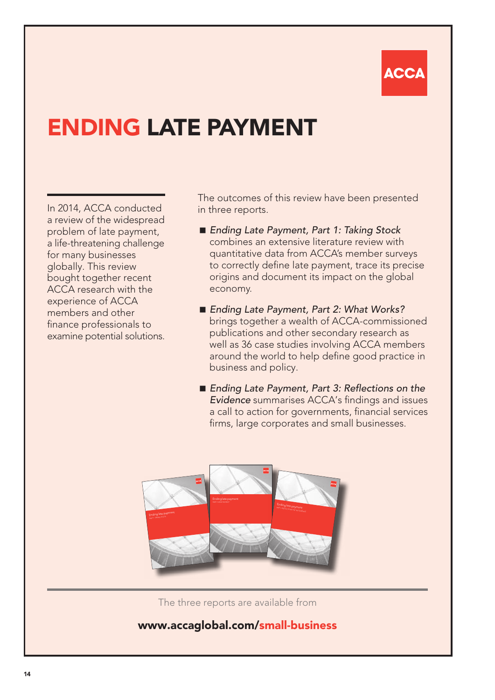# ACC

# ENDING LATE PAYMENT

In 2014, ACCA conducted a review of the widespread problem of late payment, a life-threatening challenge for many businesses globally. This review bought together recent ACCA research with the experience of ACCA members and other finance professionals to examine potential solutions. The outcomes of this review have been presented in three reports.

- *Ending Late Payment, Part 1: Taking Stock* combines an extensive literature review with quantitative data from ACCA's member surveys to correctly define late payment, trace its precise origins and document its impact on the global economy.
- *Ending Late Payment, Part 2: What Works?* brings together a wealth of ACCA-commissioned publications and other secondary research as well as 36 case studies involving ACCA members around the world to help define good practice in business and policy.
- Ending Late Payment, Part 3: Reflections on the *Evidence* summarises ACCA's findings and issues a call to action for governments, financial services firms, large corporates and small businesses.



The three reports are available from

## www.accaglobal.com/smal[l-business](-business.html)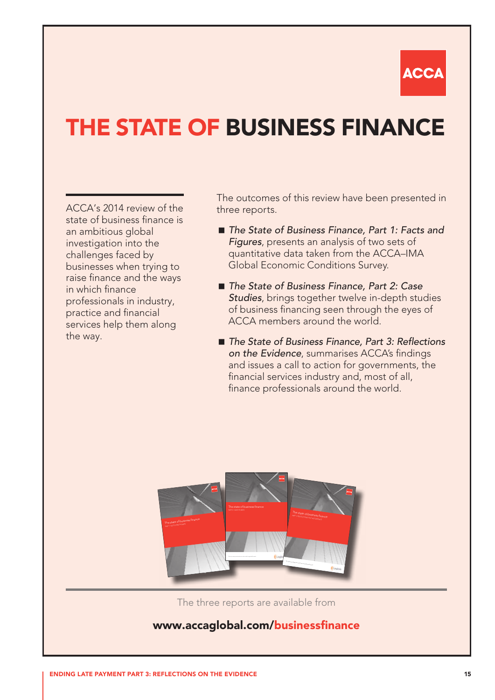

# THE STATE OF BUSINESS FINANCE

ACCA's 2014 review of the state of business finance is an ambitious global investigation into the challenges faced by businesses when trying to raise finance and the ways in which finance professionals in industry, practice and financial services help them along the way.

The outcomes of this review have been presented in three reports.

- The State of Business Finance, Part 1: Facts and *Figures*, presents an analysis of two sets of quantitative data taken from the ACCA–IMA Global Economic Conditions Survey.
- *The State of Business Finance, Part 2: Case Studies*, brings together twelve in-depth studies of business financing seen through the eyes of ACCA members around the world.
- *The State of Business Finance, Part 3: Reflections on the Evidence*, summarises ACCA's findings and issues a call to action for governments, the financial services industry and, most of all, finance professionals around the world.



The three reports are available from

### www.accaglobal.com/businessfinance